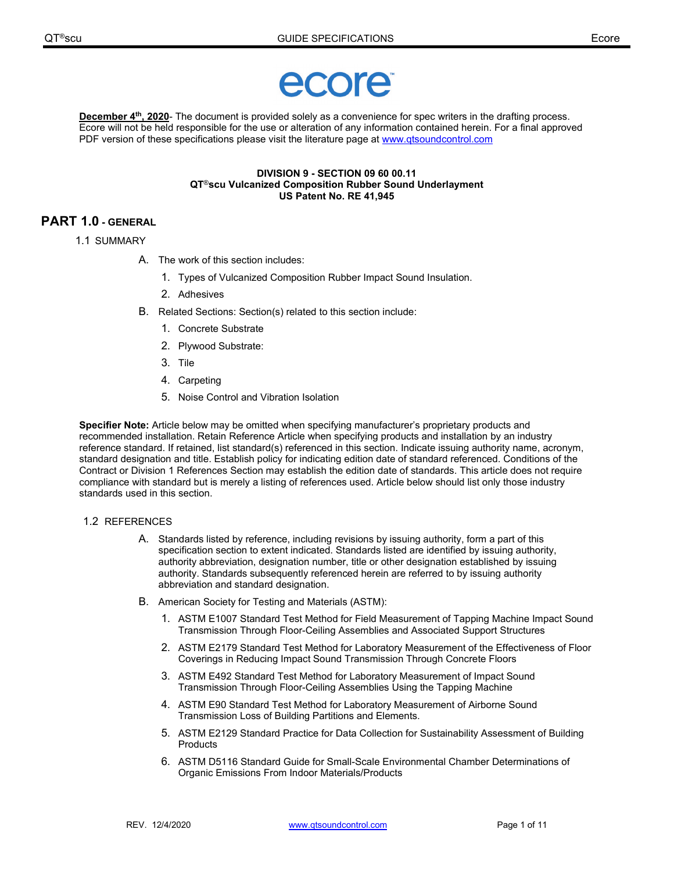

**December 4th, 2020**- The document is provided solely as a convenience for spec writers in the drafting process. Ecore will not be held responsible for the use or alteration of any information contained herein. For a final approved PDF version of these specifications please visit the literature page at [www.qtsoundcontrol.com](http://www.qtsoundcontrol.com/)

#### **DIVISION 9 - SECTION 09 60 00.11 QT**®**scu Vulcanized Composition Rubber Sound Underlayment US Patent No. RE 41,945**

# **PART 1.0 - GENERAL**

- 1.1 SUMMARY
	- A. The work of this section includes:
		- 1. Types of Vulcanized Composition Rubber Impact Sound Insulation.
		- 2. Adhesives
	- B. Related Sections: Section(s) related to this section include:
		- 1. Concrete Substrate
		- 2. Plywood Substrate:
		- 3. Tile
		- 4. Carpeting
		- 5. Noise Control and Vibration Isolation

**Specifier Note:** Article below may be omitted when specifying manufacturer's proprietary products and recommended installation. Retain Reference Article when specifying products and installation by an industry reference standard. If retained, list standard(s) referenced in this section. Indicate issuing authority name, acronym, standard designation and title. Establish policy for indicating edition date of standard referenced. Conditions of the Contract or Division 1 References Section may establish the edition date of standards. This article does not require compliance with standard but is merely a listing of references used. Article below should list only those industry standards used in this section.

# 1.2 REFERENCES

- A. Standards listed by reference, including revisions by issuing authority, form a part of this specification section to extent indicated. Standards listed are identified by issuing authority, authority abbreviation, designation number, title or other designation established by issuing authority. Standards subsequently referenced herein are referred to by issuing authority abbreviation and standard designation.
- B. American Society for Testing and Materials (ASTM):
	- 1. ASTM E1007 Standard Test Method for Field Measurement of Tapping Machine Impact Sound Transmission Through Floor-Ceiling Assemblies and Associated Support Structures
	- 2. ASTM E2179 Standard Test Method for Laboratory Measurement of the Effectiveness of Floor Coverings in Reducing Impact Sound Transmission Through Concrete Floors
	- 3. ASTM E492 Standard Test Method for Laboratory Measurement of Impact Sound Transmission Through Floor-Ceiling Assemblies Using the Tapping Machine
	- 4. ASTM E90 Standard Test Method for Laboratory Measurement of Airborne Sound Transmission Loss of Building Partitions and Elements.
	- 5. ASTM E2129 Standard Practice for Data Collection for Sustainability Assessment of Building **Products**
	- 6. ASTM D5116 Standard Guide for Small-Scale Environmental Chamber Determinations of Organic Emissions From Indoor Materials/Products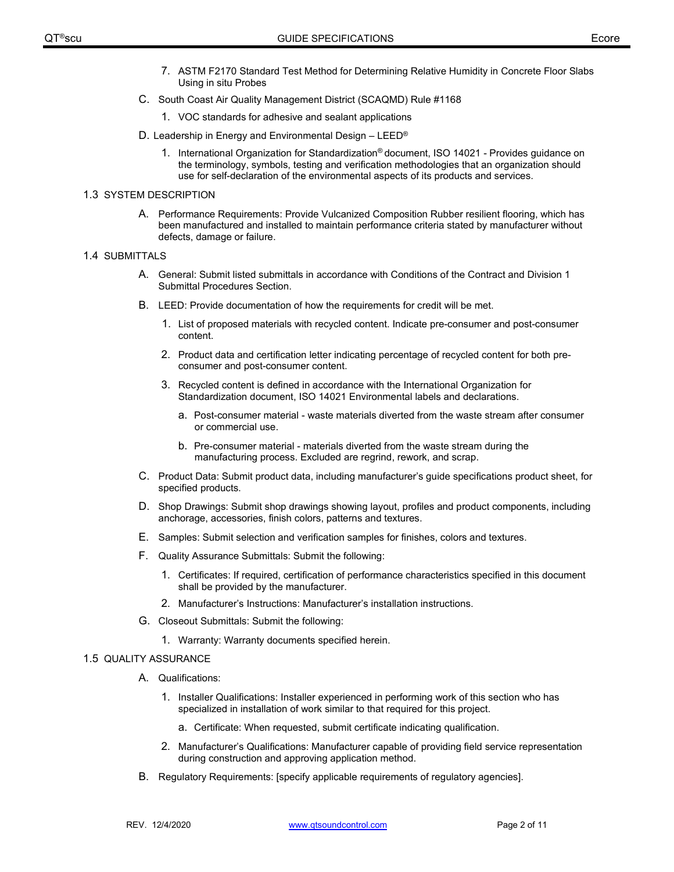- 7. ASTM F2170 Standard Test Method for Determining Relative Humidity in Concrete Floor Slabs Using in situ Probes
- C. South Coast Air Quality Management District (SCAQMD) Rule #1168
	- 1. VOC standards for adhesive and sealant applications
- D. Leadership in Energy and Environmental Design LEED®
	- 1. International Organization for Standardization® document, ISO 14021 Provides guidance on the terminology, symbols, testing and verification methodologies that an organization should use for self-declaration of the environmental aspects of its products and services.

#### 1.3 SYSTEM DESCRIPTION

A. Performance Requirements: Provide Vulcanized Composition Rubber resilient flooring, which has been manufactured and installed to maintain performance criteria stated by manufacturer without defects, damage or failure.

#### 1.4 SUBMITTALS

- A. General: Submit listed submittals in accordance with Conditions of the Contract and Division 1 Submittal Procedures Section.
- B. LEED: Provide documentation of how the requirements for credit will be met.
	- 1. List of proposed materials with recycled content. Indicate pre-consumer and post-consumer content.
	- 2. Product data and certification letter indicating percentage of recycled content for both preconsumer and post-consumer content.
	- 3. Recycled content is defined in accordance with the International Organization for Standardization document, ISO 14021 Environmental labels and declarations.
		- a. Post-consumer material waste materials diverted from the waste stream after consumer or commercial use.
		- b. Pre-consumer material materials diverted from the waste stream during the manufacturing process. Excluded are regrind, rework, and scrap.
- C. Product Data: Submit product data, including manufacturer's guide specifications product sheet, for specified products.
- D. Shop Drawings: Submit shop drawings showing layout, profiles and product components, including anchorage, accessories, finish colors, patterns and textures.
- E. Samples: Submit selection and verification samples for finishes, colors and textures.
- F. Quality Assurance Submittals: Submit the following:
	- 1. Certificates: If required, certification of performance characteristics specified in this document shall be provided by the manufacturer.
	- 2. Manufacturer's Instructions: Manufacturer's installation instructions.
- G. Closeout Submittals: Submit the following:
	- 1. Warranty: Warranty documents specified herein.

### 1.5 QUALITY ASSURANCE

- A. Qualifications:
	- 1. Installer Qualifications: Installer experienced in performing work of this section who has specialized in installation of work similar to that required for this project.
		- a. Certificate: When requested, submit certificate indicating qualification.
	- 2. Manufacturer's Qualifications: Manufacturer capable of providing field service representation during construction and approving application method.
- B. Regulatory Requirements: [specify applicable requirements of regulatory agencies].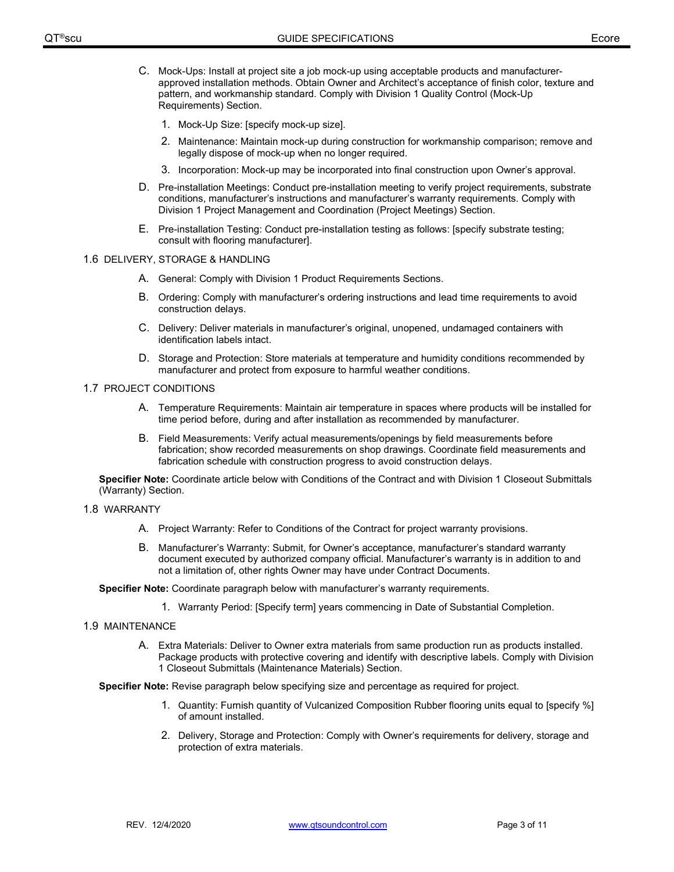- C. Mock-Ups: Install at project site a job mock-up using acceptable products and manufacturerapproved installation methods. Obtain Owner and Architect's acceptance of finish color, texture and pattern, and workmanship standard. Comply with Division 1 Quality Control (Mock-Up Requirements) Section.
	- 1. Mock-Up Size: [specify mock-up size].
	- 2. Maintenance: Maintain mock-up during construction for workmanship comparison; remove and legally dispose of mock-up when no longer required.
	- 3. Incorporation: Mock-up may be incorporated into final construction upon Owner's approval.
- D. Pre-installation Meetings: Conduct pre-installation meeting to verify project requirements, substrate conditions, manufacturer's instructions and manufacturer's warranty requirements. Comply with Division 1 Project Management and Coordination (Project Meetings) Section.
- E. Pre-installation Testing: Conduct pre-installation testing as follows: [specify substrate testing; consult with flooring manufacturer].

### 1.6 DELIVERY, STORAGE & HANDLING

- A. General: Comply with Division 1 Product Requirements Sections.
- B. Ordering: Comply with manufacturer's ordering instructions and lead time requirements to avoid construction delays.
- C. Delivery: Deliver materials in manufacturer's original, unopened, undamaged containers with identification labels intact.
- D. Storage and Protection: Store materials at temperature and humidity conditions recommended by manufacturer and protect from exposure to harmful weather conditions.

#### 1.7 PROJECT CONDITIONS

- A. Temperature Requirements: Maintain air temperature in spaces where products will be installed for time period before, during and after installation as recommended by manufacturer.
- B. Field Measurements: Verify actual measurements/openings by field measurements before fabrication; show recorded measurements on shop drawings. Coordinate field measurements and fabrication schedule with construction progress to avoid construction delays.

**Specifier Note:** Coordinate article below with Conditions of the Contract and with Division 1 Closeout Submittals (Warranty) Section.

- 1.8 WARRANTY
	- A. Project Warranty: Refer to Conditions of the Contract for project warranty provisions.
	- B. Manufacturer's Warranty: Submit, for Owner's acceptance, manufacturer's standard warranty document executed by authorized company official. Manufacturer's warranty is in addition to and not a limitation of, other rights Owner may have under Contract Documents.

**Specifier Note:** Coordinate paragraph below with manufacturer's warranty requirements.

1. Warranty Period: [Specify term] years commencing in Date of Substantial Completion.

### 1.9 MAINTENANCE

A. Extra Materials: Deliver to Owner extra materials from same production run as products installed. Package products with protective covering and identify with descriptive labels. Comply with Division 1 Closeout Submittals (Maintenance Materials) Section.

**Specifier Note:** Revise paragraph below specifying size and percentage as required for project.

- 1. Quantity: Furnish quantity of Vulcanized Composition Rubber flooring units equal to [specify %] of amount installed.
- 2. Delivery, Storage and Protection: Comply with Owner's requirements for delivery, storage and protection of extra materials.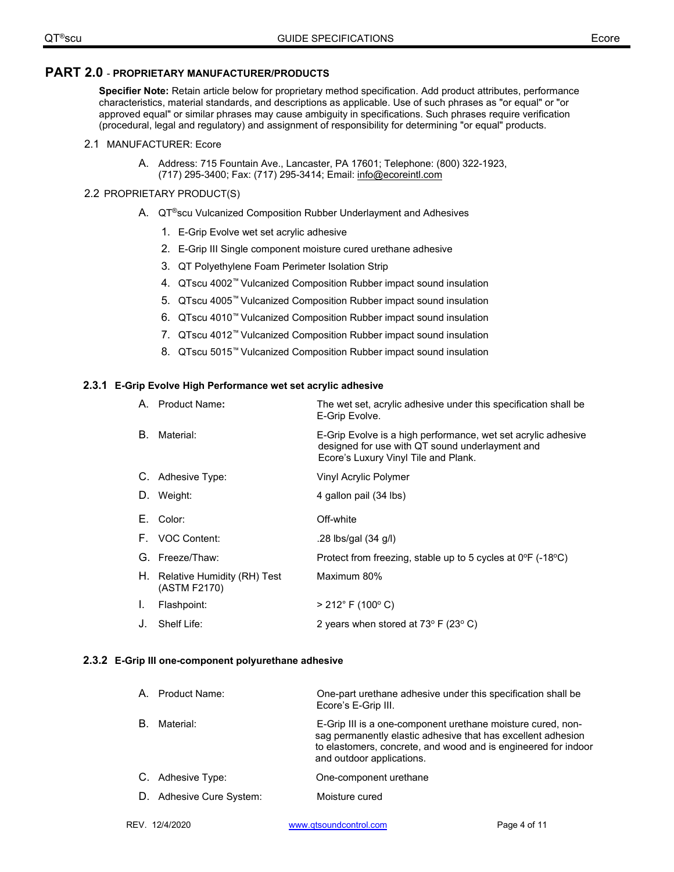# **PART 2.0** - **PROPRIETARY MANUFACTURER/PRODUCTS**

**Specifier Note:** Retain article below for proprietary method specification. Add product attributes, performance characteristics, material standards, and descriptions as applicable. Use of such phrases as "or equal" or "or approved equal" or similar phrases may cause ambiguity in specifications. Such phrases require verification (procedural, legal and regulatory) and assignment of responsibility for determining "or equal" products.

### 2.1 MANUFACTURER: Ecore

A. Address: 715 Fountain Ave., Lancaster, PA 17601; Telephone: (800) 322-1923, (717) 295-3400; Fax: (717) 295-3414; Email: info@ecoreintl.com

# 2.2 PROPRIETARY PRODUCT(S)

- A. QT®scu Vulcanized Composition Rubber Underlayment and Adhesives
	- 1. E-Grip Evolve wet set acrylic adhesive
	- 2. E-Grip III Single component moisture cured urethane adhesive
	- 3. QT Polyethylene Foam Perimeter Isolation Strip
	- 4. QTscu 4002™ Vulcanized Composition Rubber impact sound insulation
	- 5. QTscu 4005™ Vulcanized Composition Rubber impact sound insulation
	- 6. QTscu 4010™ Vulcanized Composition Rubber impact sound insulation
	- 7. QTscu 4012™ Vulcanized Composition Rubber impact sound insulation
	- 8. QTscu 5015™ Vulcanized Composition Rubber impact sound insulation

### **2.3.1 E-Grip Evolve High Performance wet set acrylic adhesive**

|    | A. Product Name:                               | The wet set, acrylic adhesive under this specification shall be<br>E-Grip Evolve.                                                                        |
|----|------------------------------------------------|----------------------------------------------------------------------------------------------------------------------------------------------------------|
| В. | Material:                                      | E-Grip Evolve is a high performance, wet set acrylic adhesive<br>designed for use with QT sound underlayment and<br>Ecore's Luxury Vinyl Tile and Plank. |
|    | C. Adhesive Type:                              | Vinyl Acrylic Polymer                                                                                                                                    |
|    | D. Weight:                                     | 4 gallon pail (34 lbs)                                                                                                                                   |
|    | E. Color:                                      | Off-white                                                                                                                                                |
|    | F. VOC Content:                                | .28 lbs/gal (34 g/l)                                                                                                                                     |
|    | G. Freeze/Thaw:                                | Protect from freezing, stable up to 5 cycles at $0^{\circ}F$ (-18 $^{\circ}C$ )                                                                          |
|    | H. Relative Humidity (RH) Test<br>(ASTM F2170) | Maximum 80%                                                                                                                                              |
| L. | Flashpoint:                                    | $> 212^{\circ}$ F (100 $^{\circ}$ C)                                                                                                                     |
|    | J. Shelf Life:                                 | 2 years when stored at $73^{\circ}$ F (23° C)                                                                                                            |

### **2.3.2 E-Grip III one-component polyurethane adhesive**

|    | A. Product Name:         | One-part urethane adhesive under this specification shall be<br>Ecore's E-Grip III.                                                                                                                                        |
|----|--------------------------|----------------------------------------------------------------------------------------------------------------------------------------------------------------------------------------------------------------------------|
| В. | Material:                | E-Grip III is a one-component urethane moisture cured, non-<br>sag permanently elastic adhesive that has excellent adhesion<br>to elastomers, concrete, and wood and is engineered for indoor<br>and outdoor applications. |
|    | C. Adhesive Type:        | One-component urethane                                                                                                                                                                                                     |
|    | D. Adhesive Cure System: | Moisture cured                                                                                                                                                                                                             |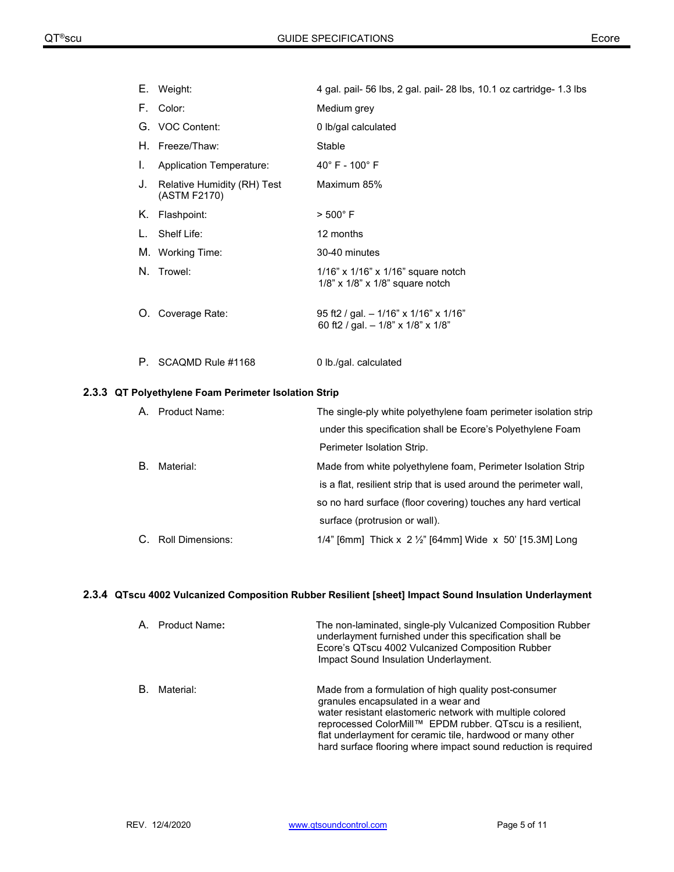|    | E. Weight:                                  | 4 gal. pail- 56 lbs, 2 gal. pail- 28 lbs, 10.1 oz cartridge- 1.3 lbs                |
|----|---------------------------------------------|-------------------------------------------------------------------------------------|
|    | F. Color:                                   | Medium grey                                                                         |
|    | G. VOC Content:                             | 0 lb/gal calculated                                                                 |
|    | H. Freeze/Thaw:                             | Stable                                                                              |
| I. | <b>Application Temperature:</b>             | $40^{\circ}$ F - $100^{\circ}$ F                                                    |
| J. | Relative Humidity (RH) Test<br>(ASTM F2170) | Maximum 85%                                                                         |
| Κ. | Flashpoint:                                 | $>500^{\circ}$ F                                                                    |
|    | Shelf Life:                                 | 12 months                                                                           |
|    | M. Working Time:                            | 30-40 minutes                                                                       |
|    | N. Trowel:                                  | 1/16" x 1/16" x 1/16" square notch<br>$1/8$ " x $1/8$ " x $1/8$ " square notch      |
|    | O. Coverage Rate:                           | 95 ft2 / gal. - 1/16" x 1/16" x 1/16"<br>60 ft2 / gal. $-1/8$ " x $1/8$ " x $1/8$ " |
|    | P. SCAQMD Rule #1168                        | 0 lb./gal. calculated                                                               |

# **2.3.3 QT Polyethylene Foam Perimeter Isolation Strip**

| А. | Product Name:    | The single-ply white polyethylene foam perimeter isolation strip    |
|----|------------------|---------------------------------------------------------------------|
|    |                  | under this specification shall be Ecore's Polyethylene Foam         |
|    |                  | Perimeter Isolation Strip.                                          |
| В. | Material:        | Made from white polyethylene foam, Perimeter Isolation Strip        |
|    |                  | is a flat, resilient strip that is used around the perimeter wall,  |
|    |                  | so no hard surface (floor covering) touches any hard vertical       |
|    |                  | surface (protrusion or wall).                                       |
|    | Roll Dimensions: | 1/4" [6mm] Thick x 2 $\frac{1}{2}$ " [64mm] Wide x 50' [15.3M] Long |

# **2.3.4 QTscu 4002 Vulcanized Composition Rubber Resilient [sheet] Impact Sound Insulation Underlayment**

| A  | Product Name: | The non-laminated, single-ply Vulcanized Composition Rubber<br>underlayment furnished under this specification shall be<br>Ecore's QTscu 4002 Vulcanized Composition Rubber<br>Impact Sound Insulation Underlayment.                                                                                                                                   |
|----|---------------|--------------------------------------------------------------------------------------------------------------------------------------------------------------------------------------------------------------------------------------------------------------------------------------------------------------------------------------------------------|
| B. | Material:     | Made from a formulation of high quality post-consumer<br>granules encapsulated in a wear and<br>water resistant elastomeric network with multiple colored<br>reprocessed ColorMill™ EPDM rubber. QTscu is a resilient,<br>flat underlayment for ceramic tile, hardwood or many other<br>hard surface flooring where impact sound reduction is required |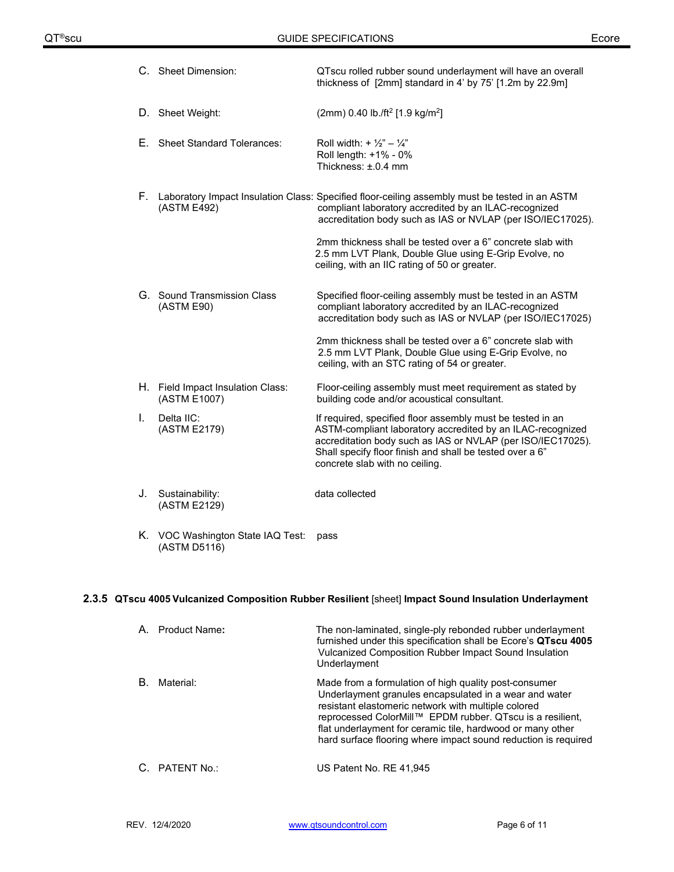|    | C. Sheet Dimension:                               | QTscu rolled rubber sound underlayment will have an overall<br>thickness of [2mm] standard in 4' by 75' [1.2m by 22.9m]                                                                                                                                                               |
|----|---------------------------------------------------|---------------------------------------------------------------------------------------------------------------------------------------------------------------------------------------------------------------------------------------------------------------------------------------|
|    | D. Sheet Weight:                                  | (2mm) 0.40 lb./ft <sup>2</sup> [1.9 kg/m <sup>2</sup> ]                                                                                                                                                                                                                               |
| Е. | <b>Sheet Standard Tolerances:</b>                 | Roll width: + $\frac{1}{2}$ " - $\frac{1}{4}$ "<br>Roll length: +1% - 0%<br>Thickness: ±.0.4 mm                                                                                                                                                                                       |
| F. | (ASTM E492)                                       | Laboratory Impact Insulation Class: Specified floor-ceiling assembly must be tested in an ASTM<br>compliant laboratory accredited by an ILAC-recognized<br>accreditation body such as IAS or NVLAP (per ISO/IEC17025).                                                                |
|    |                                                   | 2mm thickness shall be tested over a 6" concrete slab with<br>2.5 mm LVT Plank, Double Glue using E-Grip Evolve, no<br>ceiling, with an IIC rating of 50 or greater.                                                                                                                  |
|    | G. Sound Transmission Class<br>(ASTM E90)         | Specified floor-ceiling assembly must be tested in an ASTM<br>compliant laboratory accredited by an ILAC-recognized<br>accreditation body such as IAS or NVLAP (per ISO/IEC17025)                                                                                                     |
|    |                                                   | 2mm thickness shall be tested over a 6" concrete slab with<br>2.5 mm LVT Plank, Double Glue using E-Grip Evolve, no<br>ceiling, with an STC rating of 54 or greater.                                                                                                                  |
|    | H. Field Impact Insulation Class:<br>(ASTM E1007) | Floor-ceiling assembly must meet requirement as stated by<br>building code and/or acoustical consultant.                                                                                                                                                                              |
| I. | Delta IIC:<br>(ASTM E2179)                        | If required, specified floor assembly must be tested in an<br>ASTM-compliant laboratory accredited by an ILAC-recognized<br>accreditation body such as IAS or NVLAP (per ISO/IEC17025).<br>Shall specify floor finish and shall be tested over a 6"<br>concrete slab with no ceiling. |
| J. | Sustainability:<br>(ASTM E2129)                   | data collected                                                                                                                                                                                                                                                                        |
|    | K. VOC Washington State IAQ Test:                 | pass                                                                                                                                                                                                                                                                                  |

# **2.3.5 QTscu 4005 Vulcanized Composition Rubber Resilient** [sheet] **Impact Sound Insulation Underlayment**

| A  | Product Name:  | The non-laminated, single-ply rebonded rubber underlayment<br>furnished under this specification shall be Ecore's QTscu 4005<br>Vulcanized Composition Rubber Impact Sound Insulation<br>Underlayment                                                                                                                                                               |
|----|----------------|---------------------------------------------------------------------------------------------------------------------------------------------------------------------------------------------------------------------------------------------------------------------------------------------------------------------------------------------------------------------|
| B. | Material:      | Made from a formulation of high quality post-consumer<br>Underlayment granules encapsulated in a wear and water<br>resistant elastomeric network with multiple colored<br>reprocessed ColorMill™ EPDM rubber. QTscu is a resilient,<br>flat underlayment for ceramic tile, hardwood or many other<br>hard surface flooring where impact sound reduction is required |
|    | C. PATENT No.: | US Patent No. RE 41,945                                                                                                                                                                                                                                                                                                                                             |

(ASTM D5116)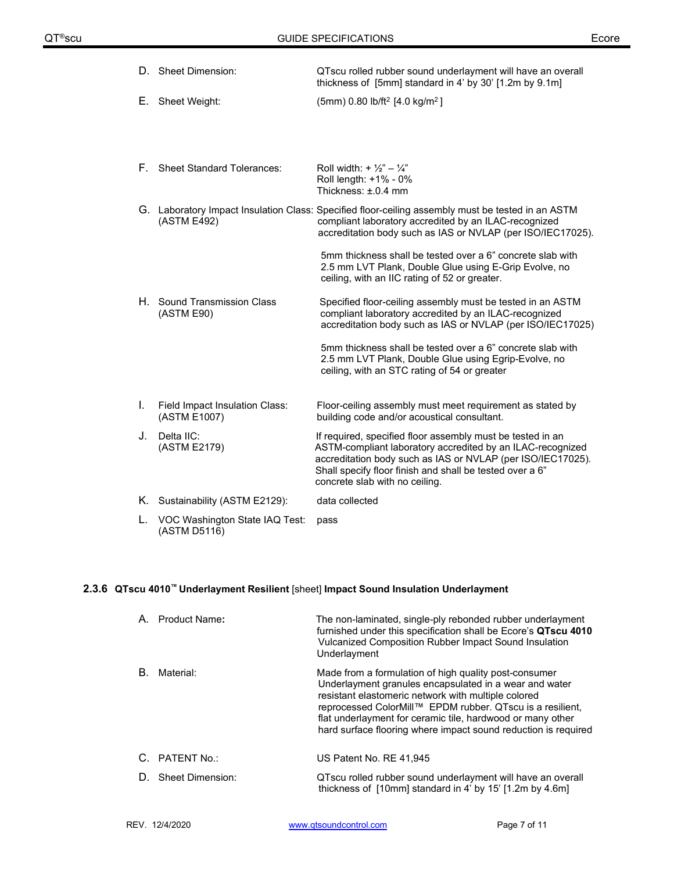|    | D. Sheet Dimension:                            | QTscu rolled rubber sound underlayment will have an overall<br>thickness of [5mm] standard in 4' by 30' [1.2m by 9.1m]                                                                                                                                                                |
|----|------------------------------------------------|---------------------------------------------------------------------------------------------------------------------------------------------------------------------------------------------------------------------------------------------------------------------------------------|
|    | E. Sheet Weight:                               | $(5mm)$ 0.80 lb/ft <sup>2</sup> [4.0 kg/m <sup>2</sup> ]                                                                                                                                                                                                                              |
|    |                                                |                                                                                                                                                                                                                                                                                       |
|    |                                                |                                                                                                                                                                                                                                                                                       |
|    | F. Sheet Standard Tolerances:                  | Roll width: + $\frac{1}{2}$ " - $\frac{1}{4}$ "<br>Roll length: +1% - 0%<br>Thickness: $\pm$ .0.4 mm                                                                                                                                                                                  |
|    | (ASTM E492)                                    | G. Laboratory Impact Insulation Class: Specified floor-ceiling assembly must be tested in an ASTM<br>compliant laboratory accredited by an ILAC-recognized<br>accreditation body such as IAS or NVLAP (per ISO/IEC17025).                                                             |
|    |                                                | 5mm thickness shall be tested over a 6" concrete slab with<br>2.5 mm LVT Plank, Double Glue using E-Grip Evolve, no<br>ceiling, with an IIC rating of 52 or greater.                                                                                                                  |
|    | H. Sound Transmission Class<br>(ASTM E90)      | Specified floor-ceiling assembly must be tested in an ASTM<br>compliant laboratory accredited by an ILAC-recognized<br>accreditation body such as IAS or NVLAP (per ISO/IEC17025)                                                                                                     |
|    |                                                | 5mm thickness shall be tested over a 6" concrete slab with<br>2.5 mm LVT Plank, Double Glue using Egrip-Evolve, no<br>ceiling, with an STC rating of 54 or greater                                                                                                                    |
| I. | Field Impact Insulation Class:<br>(ASTM E1007) | Floor-ceiling assembly must meet requirement as stated by<br>building code and/or acoustical consultant.                                                                                                                                                                              |
| J. | Delta IIC:<br>(ASTM E2179)                     | If required, specified floor assembly must be tested in an<br>ASTM-compliant laboratory accredited by an ILAC-recognized<br>accreditation body such as IAS or NVLAP (per ISO/IEC17025).<br>Shall specify floor finish and shall be tested over a 6"<br>concrete slab with no ceiling. |
|    | K. Sustainability (ASTM E2129):                | data collected                                                                                                                                                                                                                                                                        |
| L. | VOC Washington State IAQ Test:<br>(ASTM D5116) | pass                                                                                                                                                                                                                                                                                  |

# **2.3.6 QTscu 4010™ Underlayment Resilient** [sheet] **Impact Sound Insulation Underlayment**

|    | A. Product Name:    | The non-laminated, single-ply rebonded rubber underlayment<br>furnished under this specification shall be Ecore's QTscu 4010<br>Vulcanized Composition Rubber Impact Sound Insulation<br>Underlayment                                                                                                                                                               |
|----|---------------------|---------------------------------------------------------------------------------------------------------------------------------------------------------------------------------------------------------------------------------------------------------------------------------------------------------------------------------------------------------------------|
| В. | Material:           | Made from a formulation of high quality post-consumer<br>Underlayment granules encapsulated in a wear and water<br>resistant elastomeric network with multiple colored<br>reprocessed ColorMill™ EPDM rubber. QTscu is a resilient,<br>flat underlayment for ceramic tile, hardwood or many other<br>hard surface flooring where impact sound reduction is required |
|    | C. PATENT No.:      | US Patent No. RE 41,945                                                                                                                                                                                                                                                                                                                                             |
|    | D. Sheet Dimension: | QTscu rolled rubber sound underlayment will have an overall<br>thickness of [10mm] standard in 4' by 15' [1.2m by 4.6m]                                                                                                                                                                                                                                             |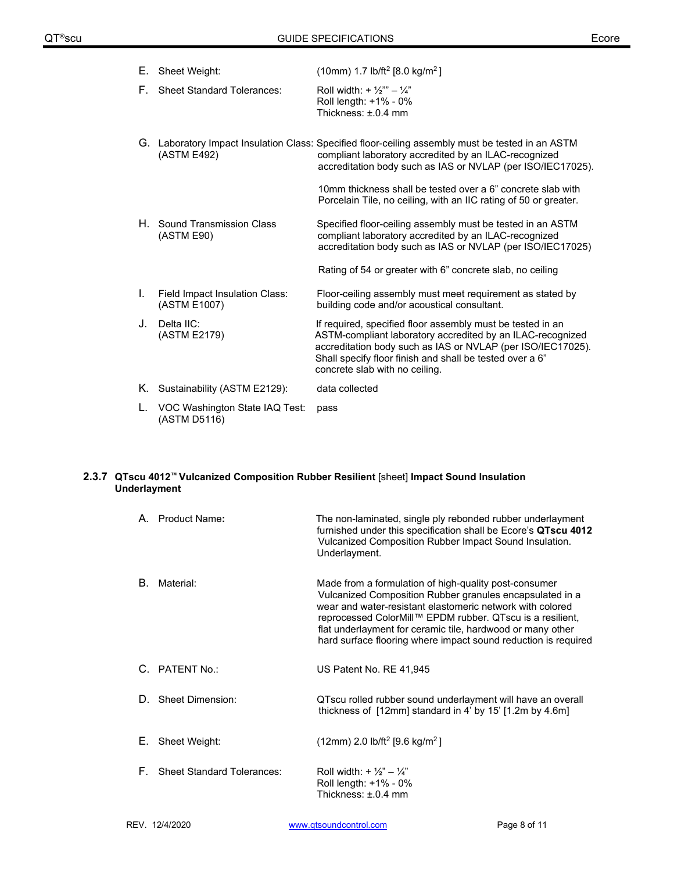| Е.  | Sheet Weight:                                  | (10mm) 1.7 lb/ft <sup>2</sup> [8.0 kg/m <sup>2</sup> ]                                                                                                                                                                                                                                |
|-----|------------------------------------------------|---------------------------------------------------------------------------------------------------------------------------------------------------------------------------------------------------------------------------------------------------------------------------------------|
| F., | <b>Sheet Standard Tolerances:</b>              | Roll width: + $\frac{1}{2}$ " – $\frac{1}{4}$ "<br>Roll length: +1% - 0%<br>Thickness: $\pm$ 0.4 mm                                                                                                                                                                                   |
|     | (ASTM E492)                                    | G. Laboratory Impact Insulation Class: Specified floor-ceiling assembly must be tested in an ASTM<br>compliant laboratory accredited by an ILAC-recognized<br>accreditation body such as IAS or NVLAP (per ISO/IEC17025).                                                             |
|     |                                                | 10mm thickness shall be tested over a 6" concrete slab with<br>Porcelain Tile, no ceiling, with an IIC rating of 50 or greater.                                                                                                                                                       |
|     | H. Sound Transmission Class<br>(ASTM E90)      | Specified floor-ceiling assembly must be tested in an ASTM<br>compliant laboratory accredited by an ILAC-recognized<br>accreditation body such as IAS or NVLAP (per ISO/IEC17025)                                                                                                     |
|     |                                                | Rating of 54 or greater with 6" concrete slab, no ceiling                                                                                                                                                                                                                             |
| Ι.  | Field Impact Insulation Class:<br>(ASTM E1007) | Floor-ceiling assembly must meet requirement as stated by<br>building code and/or acoustical consultant.                                                                                                                                                                              |
| J.  | Delta IIC:<br>(ASTM E2179)                     | If required, specified floor assembly must be tested in an<br>ASTM-compliant laboratory accredited by an ILAC-recognized<br>accreditation body such as IAS or NVLAP (per ISO/IEC17025).<br>Shall specify floor finish and shall be tested over a 6"<br>concrete slab with no ceiling. |
| Κ.  | Sustainability (ASTM E2129):                   | data collected                                                                                                                                                                                                                                                                        |
|     | VOC Washington State IAQ Test:<br>(ASTM D5116) | pass                                                                                                                                                                                                                                                                                  |

### **2.3.7 QTscu 4012™ Vulcanized Composition Rubber Resilient** [sheet] **Impact Sound Insulation Underlayment**

|    | A. Product Name:                  | The non-laminated, single ply rebonded rubber underlayment<br>furnished under this specification shall be Ecore's QTscu 4012<br>Vulcanized Composition Rubber Impact Sound Insulation.<br>Underlayment.                                                                                                                                                                     |
|----|-----------------------------------|-----------------------------------------------------------------------------------------------------------------------------------------------------------------------------------------------------------------------------------------------------------------------------------------------------------------------------------------------------------------------------|
| B. | Material:                         | Made from a formulation of high-quality post-consumer<br>Vulcanized Composition Rubber granules encapsulated in a<br>wear and water-resistant elastomeric network with colored<br>reprocessed ColorMill™ EPDM rubber. QTscu is a resilient,<br>flat underlayment for ceramic tile, hardwood or many other<br>hard surface flooring where impact sound reduction is required |
|    | C. PATENT No.:                    | US Patent No. RE 41,945                                                                                                                                                                                                                                                                                                                                                     |
| D. | <b>Sheet Dimension:</b>           | QTscu rolled rubber sound underlayment will have an overall<br>thickness of [12mm] standard in 4' by 15' [1.2m by 4.6m]                                                                                                                                                                                                                                                     |
| Е. | Sheet Weight:                     | $(12mm)$ 2.0 lb/ft <sup>2</sup> [9.6 kg/m <sup>2</sup> ]                                                                                                                                                                                                                                                                                                                    |
| E. | <b>Sheet Standard Tolerances:</b> | Roll width: + $\frac{1}{2}$ " - $\frac{1}{4}$ "<br>Roll length: +1% - 0%<br>Thickness: ±.0.4 mm                                                                                                                                                                                                                                                                             |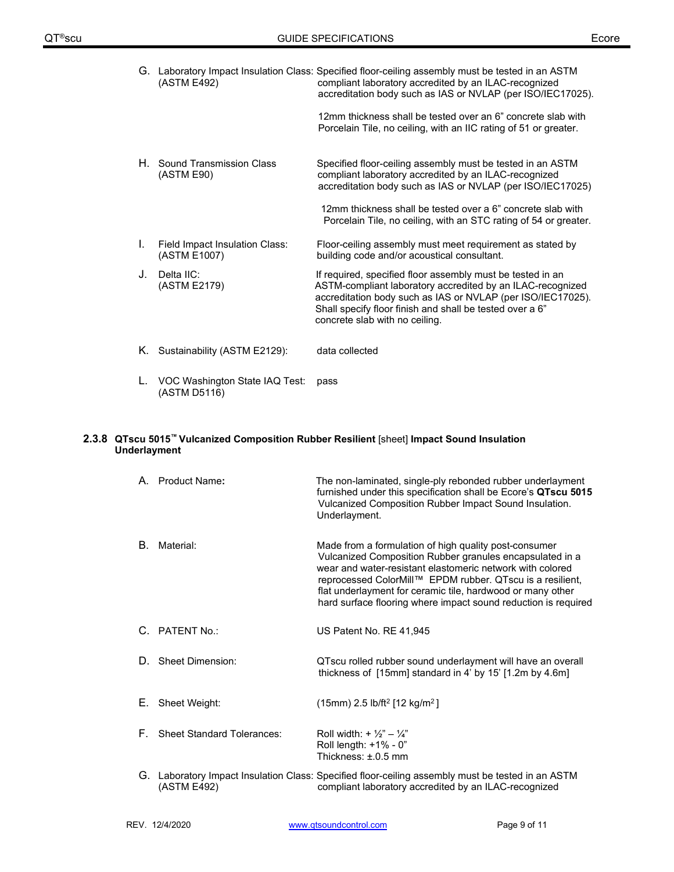| G. | (ASTM E492)                                    | Laboratory Impact Insulation Class: Specified floor-ceiling assembly must be tested in an ASTM<br>compliant laboratory accredited by an ILAC-recognized<br>accreditation body such as IAS or NVLAP (per ISO/IEC17025).                                                                |
|----|------------------------------------------------|---------------------------------------------------------------------------------------------------------------------------------------------------------------------------------------------------------------------------------------------------------------------------------------|
|    |                                                | 12mm thickness shall be tested over an 6" concrete slab with<br>Porcelain Tile, no ceiling, with an IIC rating of 51 or greater.                                                                                                                                                      |
| Н. | Sound Transmission Class<br>(ASTM E90)         | Specified floor-ceiling assembly must be tested in an ASTM<br>compliant laboratory accredited by an ILAC-recognized<br>accreditation body such as IAS or NVLAP (per ISO/IEC17025)                                                                                                     |
|    |                                                | 12mm thickness shall be tested over a 6" concrete slab with<br>Porcelain Tile, no ceiling, with an STC rating of 54 or greater.                                                                                                                                                       |
| L. | Field Impact Insulation Class:<br>(ASTM E1007) | Floor-ceiling assembly must meet requirement as stated by<br>building code and/or acoustical consultant.                                                                                                                                                                              |
| J. | Delta IIC:<br>(ASTM E2179)                     | If required, specified floor assembly must be tested in an<br>ASTM-compliant laboratory accredited by an ILAC-recognized<br>accreditation body such as IAS or NVLAP (per ISO/IEC17025).<br>Shall specify floor finish and shall be tested over a 6"<br>concrete slab with no ceiling. |
| Κ. | Sustainability (ASTM E2129):                   | data collected                                                                                                                                                                                                                                                                        |
|    | VOC Washington State IAQ Test:<br>(ASTM D5116) | pass                                                                                                                                                                                                                                                                                  |

### **2.3.8 QTscu 5015™ Vulcanized Composition Rubber Resilient** [sheet] **Impact Sound Insulation Underlayment**

|    | A. Product Name:              | The non-laminated, single-ply rebonded rubber underlayment<br>furnished under this specification shall be Ecore's QTscu 5015<br>Vulcanized Composition Rubber Impact Sound Insulation.<br>Underlayment.                                                                                                                                                                     |
|----|-------------------------------|-----------------------------------------------------------------------------------------------------------------------------------------------------------------------------------------------------------------------------------------------------------------------------------------------------------------------------------------------------------------------------|
| В. | Material:                     | Made from a formulation of high quality post-consumer<br>Vulcanized Composition Rubber granules encapsulated in a<br>wear and water-resistant elastomeric network with colored<br>reprocessed ColorMill™ EPDM rubber. QTscu is a resilient,<br>flat underlayment for ceramic tile, hardwood or many other<br>hard surface flooring where impact sound reduction is required |
|    | C. PATENT No.:                | US Patent No. RE 41,945                                                                                                                                                                                                                                                                                                                                                     |
|    | D. Sheet Dimension:           | QTscu rolled rubber sound underlayment will have an overall<br>thickness of $[15mm]$ standard in 4' by 15' $[1.2m$ by 4.6m]                                                                                                                                                                                                                                                 |
| Е. | Sheet Weight:                 | $(15mm)$ 2.5 lb/ft <sup>2</sup> [12 kg/m <sup>2</sup> ]                                                                                                                                                                                                                                                                                                                     |
|    | F. Sheet Standard Tolerances: | Roll width: + $\frac{1}{2}$ " - $\frac{1}{4}$ "<br>Roll length: +1% - 0"<br>Thickness: ±.0.5 mm                                                                                                                                                                                                                                                                             |
|    | (ASTM E492)                   | G. Laboratory Impact Insulation Class: Specified floor-ceiling assembly must be tested in an ASTM<br>compliant laboratory accredited by an ILAC-recognized                                                                                                                                                                                                                  |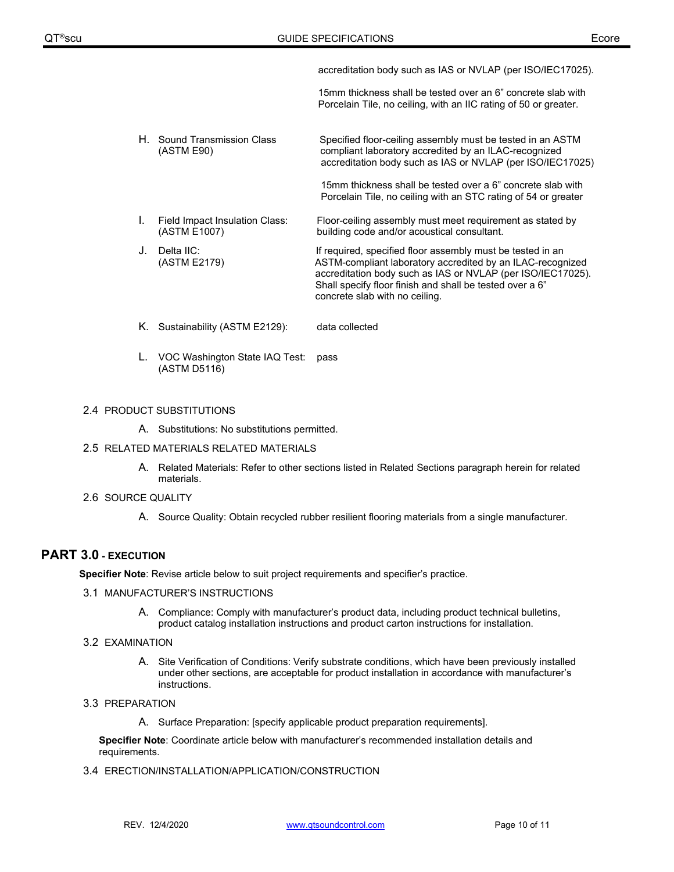accreditation body such as IAS or NVLAP (per ISO/IEC17025).

 15mm thickness shall be tested over an 6" concrete slab with Porcelain Tile, no ceiling, with an IIC rating of 50 or greater.

- H. Sound Transmission Class Specified floor-ceiling assembly must be tested in an ASTM<br>(ASTM E90) compliant laboratory accredited by an ILAC-recognized compliant laboratory accredited by an ILAC-recognized accreditation body such as IAS or NVLAP (per ISO/IEC17025) 15mm thickness shall be tested over a 6" concrete slab with Porcelain Tile, no ceiling with an STC rating of 54 or greater I. Field Impact Insulation Class: Floor-ceiling assembly must meet requirement as stated by<br>(ASTM E1007) building code and/or acoustical consultant. building code and/or acoustical consultant. J. Delta IIC: In the Internal of the Indian Specified floor assembly must be tested in an July 1. If required, specified floor assembly must be tested in an Internal ASTM-compliant laboratory accredited by an ILAC-recogn ASTM-compliant laboratory accredited by an ILAC-recognized accreditation body such as IAS or NVLAP (per ISO/IEC17025). Shall specify floor finish and shall be tested over a 6" concrete slab with no ceiling.
- K. Sustainability (ASTM E2129): data collected
- L. VOC Washington State IAQ Test: pass (ASTM D5116)

### 2.4 PRODUCT SUBSTITUTIONS

A. Substitutions: No substitutions permitted.

### 2.5 RELATED MATERIALS RELATED MATERIALS

- A. Related Materials: Refer to other sections listed in Related Sections paragraph herein for related materials.
- 2.6 SOURCE QUALITY
	- A. Source Quality: Obtain recycled rubber resilient flooring materials from a single manufacturer.

# **PART 3.0 - EXECUTION**

**Specifier Note**: Revise article below to suit project requirements and specifier's practice.

### 3.1 MANUFACTURER'S INSTRUCTIONS

A. Compliance: Comply with manufacturer's product data, including product technical bulletins, product catalog installation instructions and product carton instructions for installation.

### 3.2 EXAMINATION

A. Site Verification of Conditions: Verify substrate conditions, which have been previously installed under other sections, are acceptable for product installation in accordance with manufacturer's instructions.

### 3.3 PREPARATION

A. Surface Preparation: [specify applicable product preparation requirements].

**Specifier Note**: Coordinate article below with manufacturer's recommended installation details and requirements.

### 3.4 ERECTION/INSTALLATION/APPLICATION/CONSTRUCTION